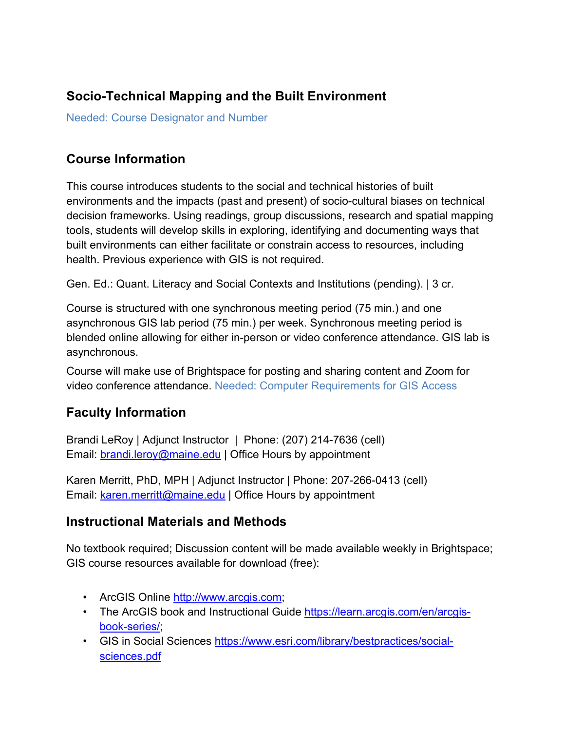# **Socio-Technical Mapping and the Built Environment**

Needed: Course Designator and Number

# **Course Information**

This course introduces students to the social and technical histories of built environments and the impacts (past and present) of socio-cultural biases on technical decision frameworks. Using readings, group discussions, research and spatial mapping tools, students will develop skills in exploring, identifying and documenting ways that built environments can either facilitate or constrain access to resources, including health. Previous experience with GIS is not required.

Gen. Ed.: Quant. Literacy and Social Contexts and Institutions (pending). | 3 cr.

Course is structured with one synchronous meeting period (75 min.) and one asynchronous GIS lab period (75 min.) per week. Synchronous meeting period is blended online allowing for either in-person or video conference attendance. GIS lab is asynchronous.

Course will make use of Brightspace for posting and sharing content and Zoom for video conference attendance. Needed: Computer Requirements for GIS Access

## **Faculty Information**

Brandi LeRoy | Adjunct Instructor | Phone: (207) 214-7636 (cell) Email: brandi.leroy@maine.edu | Office Hours by appointment

Karen Merritt, PhD, MPH | Adjunct Instructor | Phone: 207-266-0413 (cell) Email: karen.merritt@maine.edu | Office Hours by appointment

## **Instructional Materials and Methods**

No textbook required; Discussion content will be made available weekly in Brightspace; GIS course resources available for download (free):

- ArcGIS Online http://www.arcgis.com;
- The ArcGIS book and Instructional Guide https://learn.arcgis.com/en/arcgisbook-series/;
- GIS in Social Sciences https://www.esri.com/library/bestpractices/socialsciences.pdf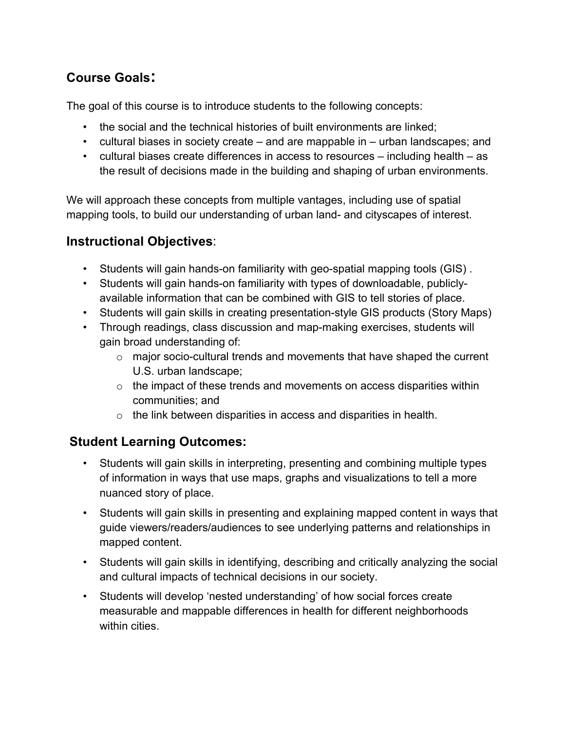# **Course Goals:**

The goal of this course is to introduce students to the following concepts:

- the social and the technical histories of built environments are linked;
- cultural biases in society create and are mappable in urban landscapes; and
- cultural biases create differences in access to resources including health as the result of decisions made in the building and shaping of urban environments.

We will approach these concepts from multiple vantages, including use of spatial mapping tools, to build our understanding of urban land- and cityscapes of interest.

### **Instructional Objectives**:

- Students will gain hands-on familiarity with geo-spatial mapping tools (GIS) .
- Students will gain hands-on familiarity with types of downloadable, publiclyavailable information that can be combined with GIS to tell stories of place.
- Students will gain skills in creating presentation-style GIS products (Story Maps)
- Through readings, class discussion and map-making exercises, students will gain broad understanding of:
	- o major socio-cultural trends and movements that have shaped the current U.S. urban landscape;
	- $\circ$  the impact of these trends and movements on access disparities within communities; and
	- $\circ$  the link between disparities in access and disparities in health.

### **Student Learning Outcomes:**

- Students will gain skills in interpreting, presenting and combining multiple types of information in ways that use maps, graphs and visualizations to tell a more nuanced story of place.
- Students will gain skills in presenting and explaining mapped content in ways that guide viewers/readers/audiences to see underlying patterns and relationships in mapped content.
- Students will gain skills in identifying, describing and critically analyzing the social and cultural impacts of technical decisions in our society.
- Students will develop 'nested understanding' of how social forces create measurable and mappable differences in health for different neighborhoods within cities.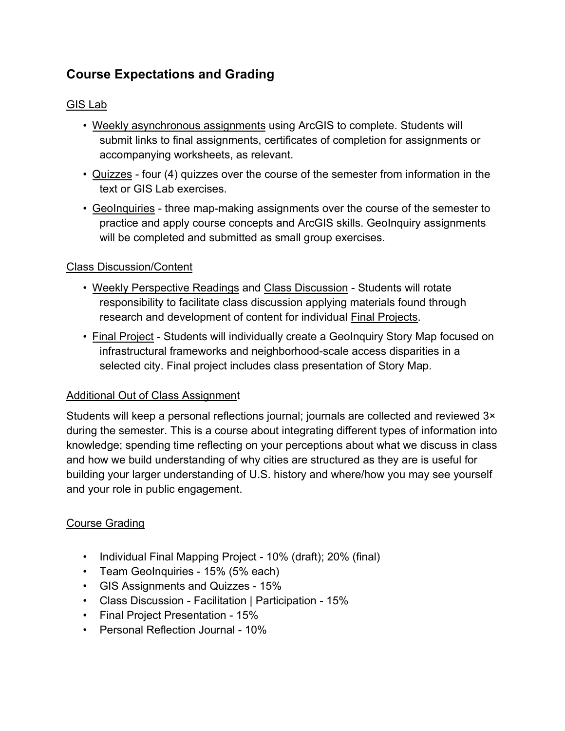# **Course Expectations and Grading**

### GIS Lab

- Weekly asynchronous assignments using ArcGIS to complete. Students will submit links to final assignments, certificates of completion for assignments or accompanying worksheets, as relevant.
- Quizzes four (4) quizzes over the course of the semester from information in the text or GIS Lab exercises.
- GeoInquiries three map-making assignments over the course of the semester to practice and apply course concepts and ArcGIS skills. GeoInquiry assignments will be completed and submitted as small group exercises.

### Class Discussion/Content

- Weekly Perspective Readings and Class Discussion Students will rotate responsibility to facilitate class discussion applying materials found through research and development of content for individual Final Projects.
- Final Project Students will individually create a GeoInquiry Story Map focused on infrastructural frameworks and neighborhood-scale access disparities in a selected city. Final project includes class presentation of Story Map.

### Additional Out of Class Assignment

Students will keep a personal reflections journal; journals are collected and reviewed 3x during the semester. This is a course about integrating different types of information into knowledge; spending time reflecting on your perceptions about what we discuss in class and how we build understanding of why cities are structured as they are is useful for building your larger understanding of U.S. history and where/how you may see yourself and your role in public engagement.

### Course Grading

- Individual Final Mapping Project 10% (draft); 20% (final)
- Team GeoInquiries 15% (5% each)
- GIS Assignments and Quizzes 15%
- Class Discussion Facilitation | Participation 15%
- Final Project Presentation 15%
- Personal Reflection Journal 10%